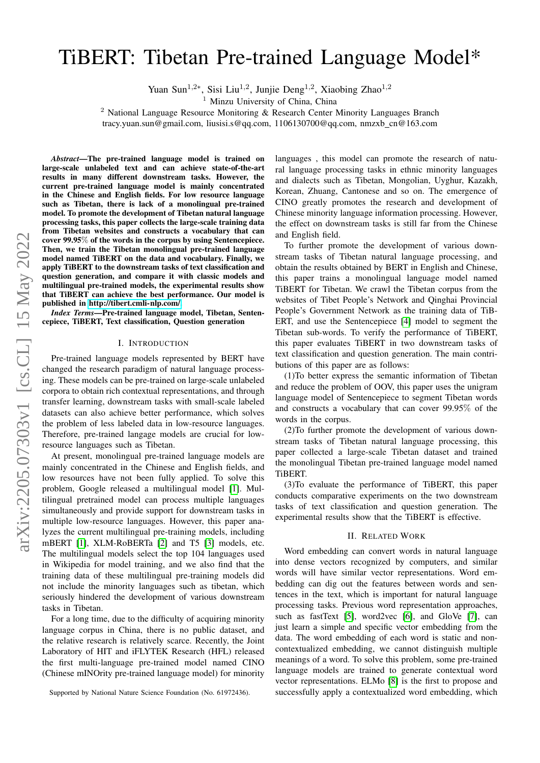# TiBERT: Tibetan Pre-trained Language Model\*

Yuan Sun<sup>1,2∗</sup>, Sisi Liu<sup>1,2</sup>, Junjie Deng<sup>1,2</sup>, Xiaobing Zhao<sup>1,2</sup>

<sup>1</sup> Minzu University of China, China

<sup>2</sup> National Language Resource Monitoring & Research Center Minority Languages Branch

tracy.yuan.sun@gmail.com, liusisi.s@qq.com, 1106130700@qq.com, nmzxb cn@163.com

*Abstract*—The pre-trained language model is trained on large-scale unlabeled text and can achieve state-of-the-art results in many different downstream tasks. However, the current pre-trained language model is mainly concentrated in the Chinese and English fields. For low resource language such as Tibetan, there is lack of a monolingual pre-trained model. To promote the development of Tibetan natural language processing tasks, this paper collects the large-scale training data from Tibetan websites and constructs a vocabulary that can cover 99.95% of the words in the corpus by using Sentencepiece. Then, we train the Tibetan monolingual pre-trained language model named TiBERT on the data and vocabulary. Finally, we apply TiBERT to the downstream tasks of text classification and question generation, and compare it with classic models and multilingual pre-trained models, the experimental results show that TiBERT can achieve the best performance. Our model is published in [http://tibert.cmli-nlp.com/.](http://tibert.cmli-nlp.com/)

*Index Terms*—Pre-trained language model, Tibetan, Sentencepiece, TiBERT, Text classification, Question generation

## I. INTRODUCTION

Pre-trained language models represented by BERT have changed the research paradigm of natural language processing. These models can be pre-trained on large-scale unlabeled corpora to obtain rich contextual representations, and through transfer learning, downstream tasks with small-scale labeled datasets can also achieve better performance, which solves the problem of less labeled data in low-resource languages. Therefore, pre-trained langage models are crucial for lowresource languages such as Tibetan.

At present, monolingual pre-trained language models are mainly concentrated in the Chinese and English fields, and low resources have not been fully applied. To solve this problem, Google released a multilingual model [\[1\]](#page-5-0). Multilingual pretrained model can process multiple languages simultaneously and provide support for downstream tasks in multiple low-resource languages. However, this paper analyzes the current multilingual pre-training models, including mBERT [\[1\]](#page-5-0), XLM-RoBERTa [\[2\]](#page-5-1) and T5 [\[3\]](#page-5-2) models, etc. The multilingual models select the top 104 languages used in Wikipedia for model training, and we also find that the training data of these multilingual pre-training models did not include the minority languages such as tibetan, which seriously hindered the development of various downstream tasks in Tibetan.

For a long time, due to the difficulty of acquiring minority language corpus in China, there is no public dataset, and the relative research is relatively scarce. Recently, the Joint Laboratory of HIT and iFLYTEK Research (HFL) released the first multi-language pre-trained model named CINO (Chinese mINOrity pre-trained language model) for minority

Supported by National Nature Science Foundation (No. 61972436).

languages , this model can promote the research of natural language processing tasks in ethnic minority languages and dialects such as Tibetan, Mongolian, Uyghur, Kazakh, Korean, Zhuang, Cantonese and so on. The emergence of CINO greatly promotes the research and development of Chinese minority language information processing. However, the effect on downstream tasks is still far from the Chinese and English field.

To further promote the development of various downstream tasks of Tibetan natural language processing, and obtain the results obtained by BERT in English and Chinese, this paper trains a monolingual language model named TiBERT for Tibetan. We crawl the Tibetan corpus from the websites of Tibet People's Network and Qinghai Provincial People's Government Network as the training data of TiB-ERT, and use the Sentencepiece [\[4\]](#page-5-3) model to segment the Tibetan sub-words. To verify the performance of TiBERT, this paper evaluates TiBERT in two downstream tasks of text classification and question generation. The main contributions of this paper are as follows:

(1)To better express the semantic information of Tibetan and reduce the problem of OOV, this paper uses the unigram language model of Sentencepiece to segment Tibetan words and constructs a vocabulary that can cover 99.95% of the words in the corpus.

(2)To further promote the development of various downstream tasks of Tibetan natural language processing, this paper collected a large-scale Tibetan dataset and trained the monolingual Tibetan pre-trained language model named TiBERT.

(3)To evaluate the performance of TiBERT, this paper conducts comparative experiments on the two downstream tasks of text classification and question generation. The experimental results show that the TiBERT is effective.

#### II. RELATED WORK

Word embedding can convert words in natural language into dense vectors recognized by computers, and similar words will have similar vector representations. Word embedding can dig out the features between words and sentences in the text, which is important for natural language processing tasks. Previous word representation approaches, such as fastText [\[5\]](#page-5-4), word2vec [\[6\]](#page-5-5), and GloVe [\[7\]](#page-5-6), can just learn a simple and specific vector embedding from the data. The word embedding of each word is static and noncontextualized embedding, we cannot distinguish multiple meanings of a word. To solve this problem, some pre-trained language models are trained to generate contextual word vector representations. ELMo [\[8\]](#page-5-7) is the first to propose and successfully apply a contextualized word embedding, which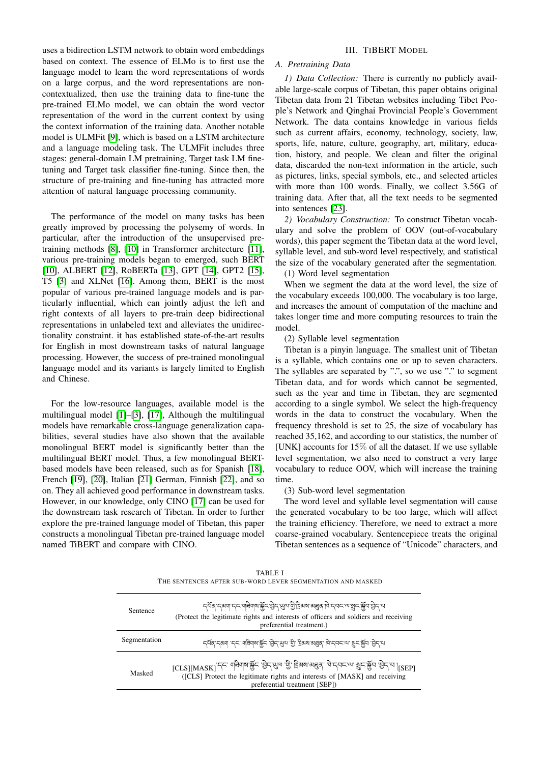uses a bidirection LSTM network to obtain word embeddings based on context. The essence of ELMo is to first use the language model to learn the word representations of words on a large corpus, and the word representations are noncontextualized, then use the training data to fine-tune the pre-trained ELMo model, we can obtain the word vector representation of the word in the current context by using the context information of the training data. Another notable model is ULMFit [\[9\]](#page-5-8), which is based on a LSTM architecture and a language modeling task. The ULMFit includes three stages: general-domain LM pretraining, Target task LM finetuning and Target task classifier fine-tuning. Since then, the structure of pre-training and fine-tuning has attracted more attention of natural language processing community.

The performance of the model on many tasks has been greatly improved by processing the polysemy of words. In particular, after the introduction of the unsupervised pretraining methods [\[8\]](#page-5-7), [\[10\]](#page-5-9) in Transformer architecture [\[11\]](#page-5-10), various pre-training models began to emerged, such BERT [\[10\]](#page-5-9), ALBERT [\[12\]](#page-5-11), RoBERTa [\[13\]](#page-5-12), GPT [\[14\]](#page-5-13), GPT2 [\[15\]](#page-5-14), T5 [\[3\]](#page-5-2) and XLNet [\[16\]](#page-5-15). Among them, BERT is the most popular of various pre-trained language models and is particularly influential, which can jointly adjust the left and right contexts of all layers to pre-train deep bidirectional representations in unlabeled text and alleviates the unidirectionality constraint. it has established state-of-the-art results for English in most downstream tasks of natural language processing. However, the success of pre-trained monolingual language model and its variants is largely limited to English and Chinese.

For the low-resource languages, available model is the multilingual model [\[1\]](#page-5-0)–[\[3\]](#page-5-2), [\[17\]](#page-5-16), Although the multilingual models have remarkable cross-language generalization capabilities, several studies have also shown that the available monolingual BERT model is significantly better than the multilingual BERT model. Thus, a few monolingual BERTbased models have been released, such as for Spanish [\[18\]](#page-5-17), French [\[19\]](#page-5-18), [\[20\]](#page-5-19), Italian [\[21\]](#page-5-20) German, Finnish [\[22\]](#page-5-21), and so on. They all achieved good performance in downstream tasks. However, in our knowledge, only CINO [\[17\]](#page-5-16) can be used for the downstream task research of Tibetan. In order to further explore the pre-trained language model of Tibetan, this paper constructs a monolingual Tibetan pre-trained language model named TiBERT and compare with CINO.

## III. TIBERT MODEL

## *A. Pretraining Data*

*1) Data Collection:* There is currently no publicly available large-scale corpus of Tibetan, this paper obtains original Tibetan data from 21 Tibetan websites including Tibet People's Network and Qinghai Provincial People's Government Network. The data contains knowledge in various fields such as current affairs, economy, technology, society, law, sports, life, nature, culture, geography, art, military, education, history, and people. We clean and filter the original data, discarded the non-text information in the article, such as pictures, links, special symbols, etc., and selected articles with more than 100 words. Finally, we collect 3.56G of training data. After that, all the text needs to be segmented into sentences [\[23\]](#page-5-22).

*2) Vocabulary Construction:* To construct Tibetan vocabulary and solve the problem of OOV (out-of-vocabulary words), this paper segment the Tibetan data at the word level, syllable level, and sub-word level respectively, and statistical the size of the vocabulary generated after the segmentation.

(1) Word level segmentation

When we segment the data at the word level, the size of the vocabulary exceeds 100,000. The vocabulary is too large, and increases the amount of computation of the machine and takes longer time and more computing resources to train the model.

(2) Syllable level segmentation

Tibetan is a pinyin language. The smallest unit of Tibetan is a syllable, which contains one or up to seven characters. The syllables are separated by ".", so we use "." to segment Tibetan data, and for words which cannot be segmented, such as the year and time in Tibetan, they are segmented according to a single symbol. We select the high-frequency words in the data to construct the vocabulary. When the frequency threshold is set to 25, the size of vocabulary has reached 35,162, and according to our statistics, the number of [UNK] accounts for  $15\%$  of all the dataset. If we use syllable level segmentation, we also need to construct a very large vocabulary to reduce OOV, which will increase the training time.

(3) Sub-word level segmentation

The word level and syllable level segmentation will cause the generated vocabulary to be too large, which will affect the training efficiency. Therefore, we need to extract a more coarse-grained vocabulary. Sentencepiece treats the original Tibetan sentences as a sequence of "Unicode" characters, and

<span id="page-1-0"></span>

| THE SENTENCES AFTER SUB-WORD LEVER SEGMENTATION AND MASKED |                                                                                                                                                                                                                                        |  |  |
|------------------------------------------------------------|----------------------------------------------------------------------------------------------------------------------------------------------------------------------------------------------------------------------------------------|--|--|
| Sentence                                                   | ८ दिव दुषया ८८ यज्ञिया अस्ति अस्य यो प्रथा अधिश्रमा के देव स्था अस्य अस्य देन त<br>(Protect the legitimate rights and interests of officers and soldiers and receiving<br>preferential treatment.)                                     |  |  |
| Segmentation                                               | र्ट्स्य : र्थाय : र्ट्स् : बांड्याय:भूंस् : गुर्न्सिल : गुरे ड्रिथय:अडीर्य : जु. र्ट्स्ट्स्ल : गुर्ट्स्स                                                                                                                               |  |  |
| Masked                                                     | [CLS][MASK] 'नन्' यात्रेयाषा'र्श्चन 'छेन्'सुय' 'ग्रु' विव्यव'व्यड्य्' बि'न्यन्'य' शुन'र्श्चन 'छेन्'य   <sub>ISEP1</sub><br>([CLS] Protect the legitimate rights and interests of [MASK] and receiving<br>preferential treatment [SEP]) |  |  |

TABLE I THE SENTENCES AFTER SUB-WORD LEVER SEGMENTATION AND MASKED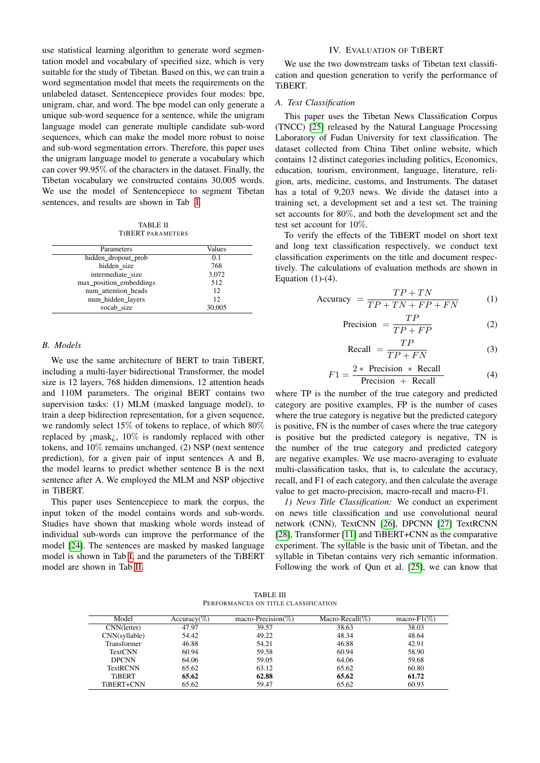use statistical learning algorithm to generate word segmentation model and vocabulary of specified size, which is very suitable for the study of Tibetan. Based on this, we can train a word segmentation model that meets the requirements on the unlabeled dataset. Sentencepiece provides four modes: bpe, unigram, char, and word. The bpe model can only generate a unique sub-word sequence for a sentence, while the unigram language model can generate multiple candidate sub-word sequences, which can make the model more robust to noise and sub-word segmentation errors. Therefore, this paper uses the unigram language model to generate a vocabulary which can cover 99.95% of the characters in the dataset. Finally, the Tibetan vocabulary we constructed contains 30,005 words. We use the model of Sentencepiece to segment Tibetan sentences, and results are shown in Tab [I.](#page-1-0)

TABLE II TIBERT PARAMETERS

<span id="page-2-0"></span>

| Parameters              | Values |
|-------------------------|--------|
| hidden_dropout_prob     | 0.1    |
| hidden size             | 768    |
| intermediate size       | 3,072  |
| max_position_embeddings | 512    |
| num attention heads     | 12     |
| num_hidden_layers       | 12     |
| vocab size              | 30,005 |

### *B. Models*

We use the same architecture of BERT to train TiBERT, including a multi-layer bidirectional Transformer, the model size is 12 layers, 768 hidden dimensions, 12 attention heads and 110M parameters. The original BERT contains two supervision tasks: (1) MLM (masked language model), to train a deep bidirection representation, for a given sequence, we randomly select 15% of tokens to replace, of which 80% replaced by  $\{mask_i\}$ , 10% is randomly replaced with other tokens, and 10% remains unchanged. (2) NSP (next sentence prediction), for a given pair of input sentences A and B, the model learns to predict whether sentence B is the next sentence after A. We employed the MLM and NSP objective in TiBERT.

This paper uses Sentencepiece to mark the corpus, the input token of the model contains words and sub-words. Studies have shown that masking whole words instead of individual sub-words can improve the performance of the model [\[24\]](#page-5-23). The sentences are masked by masked language model is shown in Tab [I,](#page-1-0) and the parameters of the TiBERT model are shown in Tab [II.](#page-2-0)

## IV. EVALUATION OF TIBERT

We use the two downstream tasks of Tibetan text classification and question generation to verify the performance of TiBERT.

## *A. Text Classification*

This paper uses the Tibetan News Classification Corpus (TNCC) [\[25\]](#page-5-24) released by the Natural Language Processing Laboratory of Fudan University for text classification. The dataset collected from China Tibet online website, which contains 12 distinct categories including politics, Economics, education, tourism, environment, language, literature, religion, arts, medicine, customs, and Instruments. The dataset has a total of 9,203 news. We divide the dataset into a training set, a development set and a test set. The training set accounts for 80%, and both the development set and the test set account for 10%.

To verify the effects of the TiBERT model on short text and long text classification respectively, we conduct text classification experiments on the title and document respectively. The calculations of evaluation methods are shown in Equation  $(1)-(4)$ .

$$
Accuracy = \frac{TP + TN}{TP + TN + FP + FN}
$$
 (1)

$$
\text{Precision} = \frac{TP}{TP + FP} \tag{2}
$$

$$
\text{Recall } = \frac{TP}{TP + FN} \tag{3}
$$

$$
F1 = \frac{2 * \text{ Precision} * \text{ Recall}}{\text{Precision} + \text{ Recall}}
$$
(4)

where TP is the number of the true category and predicted category are positive examples, FP is the number of cases where the true category is negative but the predicted category is positive, FN is the number of cases where the true category is positive but the predicted category is negative, TN is the number of the true category and predicted category are negative examples. We use macro-averaging to evaluate multi-classification tasks, that is, to calculate the accuracy, recall, and F1 of each category, and then calculate the average value to get macro-precision, macro-recall and macro-F1.

*1) News Title Classification:* We conduct an experiment on news title classification and use convolutional neural network (CNN), TextCNN [\[26\]](#page-5-25), DPCNN [\[27\]](#page-5-26) TextRCNN [\[28\]](#page-5-27), Transformer [\[11\]](#page-5-10) and TiBERT+CNN as the comparative experiment. The syllable is the basic unit of Tibetan, and the syllable in Tibetan contains very rich semantic information. Following the work of Qun et al. [\[25\]](#page-5-24), we can know that

TABLE III PERFORMANCES ON TITLE CLASSIFICATION

<span id="page-2-1"></span>

| Model              | Accuracy( $\%$ ) | macro-Precision( $\%$ ) | Macro-Recall( $\%$ ) | macro- $F1(\%)$ |
|--------------------|------------------|-------------------------|----------------------|-----------------|
| CNN(letter)        | 47.97            | 39.57                   | 38.63                | 38.03           |
| CNN(syllable)      | 54.42            | 49.22                   | 48.34                | 48.64           |
| <b>Transformer</b> | 46.88            | 54.21                   | 46.88                | 42.91           |
| <b>TextCNN</b>     | 60.94            | 59.58                   | 60.94                | 58.90           |
| <b>DPCNN</b>       | 64.06            | 59.05                   | 64.06                | 59.68           |
| <b>TextRCNN</b>    | 65.62            | 63.12                   | 65.62                | 60.80           |
| <b>TiBERT</b>      | 65.62            | 62.88                   | 65.62                | 61.72           |
| TiBERT+CNN         | 65.62            | 59.47                   | 65.62                | 60.93           |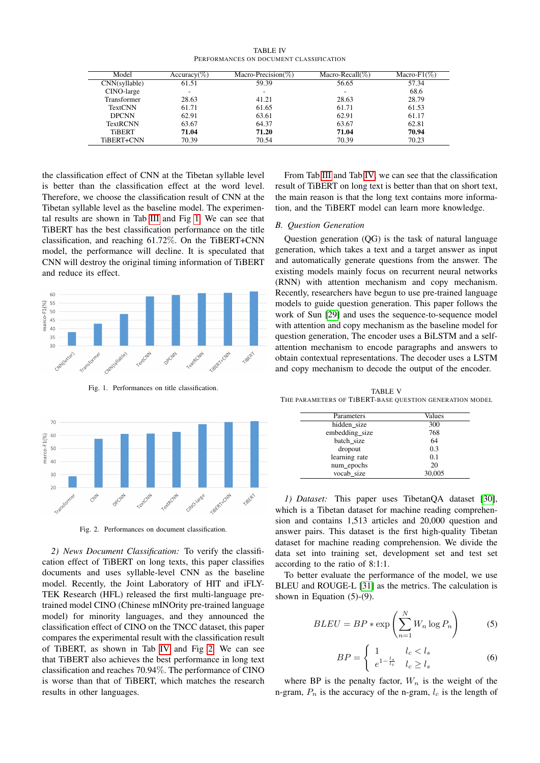|                                         | <b>TABLE IV</b> |  |
|-----------------------------------------|-----------------|--|
| PERFORMANCES ON DOCUMENT CLASSIFICATION |                 |  |

<span id="page-3-1"></span>

| Model           | $Accuracy(\%)$ | Macro-Precision( $\%$ ) | Macro-Recall( $\%$ ) | Macro-F1 $(\%)$ |
|-----------------|----------------|-------------------------|----------------------|-----------------|
| CNN(syllable)   | 61.51          | 59.39                   | 56.65                | 57.34           |
| CINO-large      |                | ۰                       |                      | 68.6            |
| Transformer     | 28.63          | 41.21                   | 28.63                | 28.79           |
| <b>TextCNN</b>  | 61.71          | 61.65                   | 61.71                | 61.53           |
| <b>DPCNN</b>    | 62.91          | 63.61                   | 62.91                | 61.17           |
| <b>TextRCNN</b> | 63.67          | 64.37                   | 63.67                | 62.81           |
| <b>TiBERT</b>   | 71.04          | 71.20                   | 71.04                | 70.94           |
| TiBERT+CNN      | 70.39          | 70.54                   | 70.39                | 70.23           |

the classification effect of CNN at the Tibetan syllable level is better than the classification effect at the word level. Therefore, we choose the classification result of CNN at the Tibetan syllable level as the baseline model. The experimental results are shown in Tab [III](#page-2-1) and Fig [1.](#page-3-0) We can see that TiBERT has the best classification performance on the title classification, and reaching 61.72%. On the TiBERT+CNN model, the performance will decline. It is speculated that CNN will destroy the original timing information of TiBERT and reduce its effect.



<span id="page-3-0"></span>Fig. 1. Performances on title classification.



<span id="page-3-2"></span>Fig. 2. Performances on document classification.

*2) News Document Classification:* To verify the classification effect of TiBERT on long texts, this paper classifies documents and uses syllable-level CNN as the baseline model. Recently, the Joint Laboratory of HIT and iFLY-TEK Research (HFL) released the first multi-language pretrained model CINO (Chinese mINOrity pre-trained language model) for minority languages, and they announced the classification effect of CINO on the TNCC dataset, this paper compares the experimental result with the classification result of TiBERT, as shown in Tab [IV](#page-3-1) and Fig [2.](#page-3-2) We can see that TiBERT also achieves the best performance in long text classification and reaches 70.94%. The performance of CINO is worse than that of TiBERT, which matches the research results in other languages.

From Tab [III](#page-2-1) and Tab [IV,](#page-3-1) we can see that the classification result of TiBERT on long text is better than that on short text, the main reason is that the long text contains more information, and the TiBERT model can learn more knowledge.

#### *B. Question Generation*

Question generation (QG) is the task of natural language generation, which takes a text and a target answer as input and automatically generate questions from the answer. The existing models mainly focus on recurrent neural networks (RNN) with attention mechanism and copy mechanism. Recently, researchers have begun to use pre-trained language models to guide question generation. This paper follows the work of Sun [\[29\]](#page-5-28) and uses the sequence-to-sequence model with attention and copy mechanism as the baseline model for question generation, The encoder uses a BiLSTM and a selfattention mechanism to encode paragraphs and answers to obtain contextual representations. The decoder uses a LSTM and copy mechanism to decode the output of the encoder.

<span id="page-3-3"></span>TABLE V THE PARAMETERS OF TIBERT-BASE QUESTION GENERATION MODEL

| Parameters     | Values |
|----------------|--------|
| hidden size    | 300    |
| embedding_size | 768    |
| batch size     | 64     |
| dropout        | 0.3    |
| learning rate  | 0.1    |
| num_epochs     | 20     |
| vocab size     | 30,005 |

*1) Dataset:* This paper uses TibetanQA dataset [\[30\]](#page-5-29), which is a Tibetan dataset for machine reading comprehension and contains 1,513 articles and 20,000 question and answer pairs. This dataset is the first high-quality Tibetan dataset for machine reading comprehension. We divide the data set into training set, development set and test set according to the ratio of 8:1:1.

To better evaluate the performance of the model, we use BLEU and ROUGE-L [\[31\]](#page-5-30) as the metrics. The calculation is shown in Equation (5)-(9).

$$
BLEU = BP * \exp\left(\sum_{n=1}^{N} W_n \log P_n\right) \tag{5}
$$

$$
BP = \begin{cases} 1 & l_c < l_s \\ e^{1 - \frac{l_s}{l_c}} & l_c \ge l_s \end{cases}
$$
 (6)

where BP is the penalty factor,  $W_n$  is the weight of the n-gram,  $P_n$  is the accuracy of the n-gram,  $l_c$  is the length of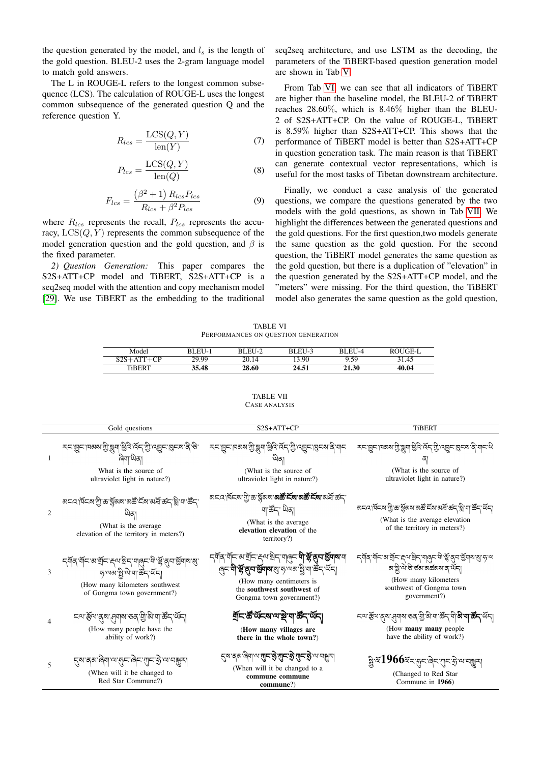the question generated by the model, and  $l_s$  is the length of the gold question. BLEU-2 uses the 2-gram language model to match gold answers.

The L in ROUGE-L refers to the longest common subsequence (LCS). The calculation of ROUGE-L uses the longest common subsequence of the generated question Q and the reference question Y.

$$
R_{lcs} = \frac{\text{LCS}(Q, Y)}{\text{len}(Y)}\tag{7}
$$

$$
P_{lcs} = \frac{\text{LCS}(Q, Y)}{\text{len}(Q)}\tag{8}
$$

$$
F_{lcs} = \frac{\left(\beta^2 + 1\right) R_{lcs} P_{lcs}}{R_{lcs} + \beta^2 P_{lcs}}
$$
(9)

where  $R_{lcs}$  represents the recall,  $P_{lcs}$  represents the accuracy,  $LCS(Q, Y)$  represents the common subsequence of the model generation question and the gold question, and  $\beta$  is the fixed parameter.

*2) Question Generation:* This paper compares the S2S+ATT+CP model and TiBERT, S2S+ATT+CP is a seq2seq model with the attention and copy mechanism model [\[29\]](#page-5-28). We use TiBERT as the embedding to the traditional

seq2seq architecture, and use LSTM as the decoding, the parameters of the TiBERT-based question generation model are shown in Tab [V.](#page-3-3)

From Tab [VI,](#page-4-0) we can see that all indicators of TiBERT are higher than the baseline model, the BLEU-2 of TiBERT reaches 28.60%, which is 8.46% higher than the BLEU-2 of S2S+ATT+CP. On the value of ROUGE-L, TiBERT is 8.59% higher than S2S+ATT+CP. This shows that the performance of TiBERT model is better than S2S+ATT+CP in question generation task. The main reason is that TiBERT can generate contextual vector representations, which is useful for the most tasks of Tibetan downstream architecture.

Finally, we conduct a case analysis of the generated questions, we compare the questions generated by the two models with the gold questions, as shown in Tab [VII.](#page-4-1) We highlight the differences between the generated questions and the gold questions. For the first question,two models generate the same question as the gold question. For the second question, the TiBERT model generates the same question as the gold question, but there is a duplication of "elevation" in the question generated by the S2S+ATT+CP model, and the "meters" were missing. For the third question, the TiBERT model also generates the same question as the gold question,

TABLE VI PERFORMANCES ON QUESTION GENERATION

<span id="page-4-0"></span>

| Model          | BLEU-1 | BLEU-2 | BLEU-3 | BLEU-4       | ROUGE-L |
|----------------|--------|--------|--------|--------------|---------|
| $S2S+A$<br>⊥∩ு | 29.99  | 20.14  | 13.90  | 9.59         | 31.45   |
| <b>TiBERT</b>  | 35.48  | 28.60  | 24.51  | <b>21.30</b> | 40.04   |

TABLE VII CASE ANALYSIS

<span id="page-4-1"></span>

|                | Gold questions                                                                                                                                                                                                                                                                                                             | S2S+ATT+CP                                                                                                                                                                                                                                      | <b>TiBERT</b>                                                                                                                                                                                                 |
|----------------|----------------------------------------------------------------------------------------------------------------------------------------------------------------------------------------------------------------------------------------------------------------------------------------------------------------------------|-------------------------------------------------------------------------------------------------------------------------------------------------------------------------------------------------------------------------------------------------|---------------------------------------------------------------------------------------------------------------------------------------------------------------------------------------------------------------|
| -1             | خد. ݣَخْرَام ماها الْكَرْبَة بْلَامْ الْكَلْمْ بْلَاتْ بْلَامْ بْلَامْ بْلَامْ بْلَامْ بْلَامْ بْلَا<br>What is the source of<br>ultraviolet light in nature?)                                                                                                                                                             | خد. ݣَخْرَةْ الععاها، يْݣْ يْݣُولْ، بِرْكْ بْلّْ تْكْتَوْخْرْ الْكَلْحْمَا، بْحْرْ بْلْ تْكْتَوْجْرْ<br>(What is the source of<br>ultraviolet light in nature?)                                                                                 | خد. ݣَد. لفعها بْهَا عَالَى الْجَمْعَة بْلَاتِي بْنَاءَ بْلَاتِي بْنَاءَ بْلَاتْ بْلَاتْ بْلَاتْ بْ<br>(What is the source of<br>ultraviolet light in nature?)                                                |
| $\overline{2}$ | बद्दार्वद्राणु काञ्चला बर्के द्रवालये क्या क्षेत्<br>(What is the average)<br>elevation of the territory in meters?)                                                                                                                                                                                                       | অনন শিনম'শ্ৰী'ক্ত'ৰ্ম্নৰুমম' <b>নৰ্ষ্ট'ৰ্মন'নৰ্ষ্ট'ৰ্নম'</b> ন্সৰ্দ্ৰ'ৰ্ক্তন্<br>নাৰ্ক্টন্' ਘੋਕা<br>(What is the average)<br>elevation elevation of the<br>territory?)                                                                          | बाद्द विद्वाग्नु काञ्चला अक्ष देवा अन्न कर्नुञ्ज वा क्षेत् ऑन्<br>(What is the average elevation)<br>of the territory in meters?)                                                                             |
| 3              | द्ग्रेषु स्वान्यः स्टब्स् स्वान् स्वान् स्वान् स्वान् स्वान् स्वान् स्वान् स्वान् स्वान् स्वान् स्वा<br>निर्वाणान् स्वान् स्वान् स्वान् स्वान् स्वान् स्वान् स्वान् स्वान् स्वान् स्वान् स्वान् स्वान् स्वान् स्वान् स<br><i>ॸॱ</i> ॺॺॱॾॗॱ॓ॺॱॺॱॾॕ॔ॸॱॺ॔ॸऻ<br>(How many kilometers southwest)<br>of Gongma town government?) | <i>८</i> ब्र्थि <b>ं</b> स्ट्रिय स्ट्रिय स्ट्रिय स्थानी स्ट्रे <b>से स्ट्रै र्थियाद्यान्य</b> स्थानी<br>बिट प्री के बार से बार बार से बार हैं। या कर यहाँ<br>(How many centimeters is<br>the southwest southwest of<br>Gongma town government?) | كملعا بهات ما يَوْمَ الْمَعْرَافِينَ الْمَاسِمَةِ بِهَا مِنْ الْمَاسِمَةِ بِهَا بِهَا مِنْ الْمَاسِم<br>बाड्डो ये डे डबा बर्ढबाबा व थॅन।<br>(How many kilometers)<br>southwest of Gongma town<br>government?) |
|                | <i>८</i> ०: ूल: थेल: सेवाल: २२: ग्री. था. बूट प्रत्य<br>(How many people have the<br>ability of work?)                                                                                                                                                                                                                     | য়৾ৄঢ়৾ৼড়ৣ৸ড়৸ৼড়৸ৼঢ়৻ড়৻৸<br>(How many villages are<br>there in the whole town?)                                                                                                                                                              | (How many many people)<br>have the ability of work?)                                                                                                                                                          |
| 5              | <i>ह्ष</i> 'ब्बा'बे्वा'व्गरुन्'बे्द्'गुद्गकु'व्ग'वङ्कुर।<br>(When will it be changed to<br>Red Star Commune?)                                                                                                                                                                                                              | <i>ह्ष</i> ब्रह्म बियाल <b>सान हे सन हे सन हे</b> लावङ्कर<br>(When will it be changed to a<br>commune commune<br>commune?)                                                                                                                      | ষ্ট্র'শ্ম $1966$ শ্রন্'র্ন'ৰ্ন'শ্মুন'র্'অ'নঙ্কুন্<br>(Changed to Red Star<br>Commune in 1966)                                                                                                                 |